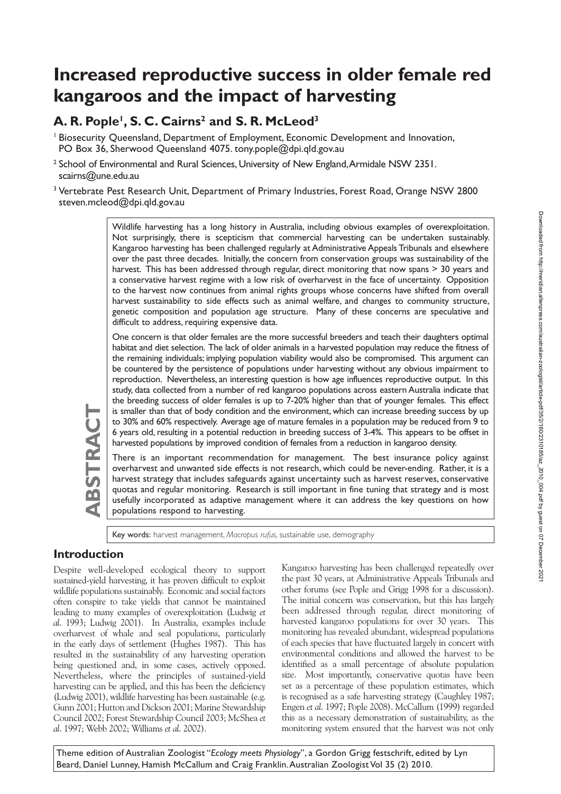# **Increased reproductive success in older female red kangaroos and the impact of harvesting**

# A. R. Pople<sup>1</sup>, S. C. Cairns<sup>2</sup> and S. R. McLeod<sup>3</sup>

- <sup>1</sup> Biosecurity Queensland, Department of Employment, Economic Development and Innovation, PO Box 36, Sherwood Queensland 4075. tony.pople@dpi.qld.gov.au
- <sup>2</sup> School of Environmental and Rural Sciences, University of New England, Armidale NSW 2351. scairns@une.edu.au
- <sup>3</sup> Vertebrate Pest Research Unit, Department of Primary Industries, Forest Road, Orange NSW 2800 steven.mcleod@dpi.qld.gov.au

Wildlife harvesting has a long history in Australia, including obvious examples of overexploitation. Not surprisingly, there is scepticism that commercial harvesting can be undertaken sustainably. Kangaroo harvesting has been challenged regularly at Administrative Appeals Tribunals and elsewhere over the past three decades. Initially, the concern from conservation groups was sustainability of the harvest. This has been addressed through regular, direct monitoring that now spans > 30 years and a conservative harvest regime with a low risk of overharvest in the face of uncertainty. Opposition to the harvest now continues from animal rights groups whose concerns have shifted from overall harvest sustainability to side effects such as animal welfare, and changes to community structure, genetic composition and population age structure. Many of these concerns are speculative and difficult to address, requiring expensive data.

One concern is that older females are the more successful breeders and teach their daughters optimal habitat and diet selection. The lack of older animals in a harvested population may reduce the fitness of the remaining individuals; implying population viability would also be compromised. This argument can be countered by the persistence of populations under harvesting without any obvious impairment to reproduction. Nevertheless, an interesting question is how age influences reproductive output. In this study, data collected from a number of red kangaroo populations across eastern Australia indicate that the breeding success of older females is up to 7-20% higher than that of younger females. This effect is smaller than that of body condition and the environment, which can increase breeding success by up to 30% and 60% respectively. Average age of mature females in a population may be reduced from 9 to 6 years old, resulting in a potential reduction in breeding success of 3-4%. This appears to be offset in harvested populations by improved condition of females from a reduction in kangaroo density.

There is an important recommendation for management. The best insurance policy against overharvest and unwanted side effects is not research, which could be never-ending. Rather, it is a harvest strategy that includes safeguards against uncertainty such as harvest reserves, conservative quotas and regular monitoring. Research is still important in fine tuning that strategy and is most usefully incorporated as adaptive management where it can address the key questions on how populations respond to harvesting.

Key words: harvest management, *Macropus rufus*, sustainable use, demography

## **Introduction**

**ABSTRACT**

**BSTRAC** 

Despite well-developed ecological theory to support sustained-yield harvesting, it has proven difficult to exploit wildlife populations sustainably. Economic and social factors often conspire to take yields that cannot be maintained leading to many examples of overexploitation (Ludwig *et al*. 1993; Ludwig 2001). In Australia, examples include overharvest of whale and seal populations, particularly in the early days of settlement (Hughes 1987). This has resulted in the sustainability of any harvesting operation being questioned and, in some cases, actively opposed. Nevertheless, where the principles of sustained-yield harvesting can be applied, and this has been the deficiency (Ludwig 2001), wildlife harvesting has been sustainable (e.g. Gunn 2001; Hutton and Dickson 2001; Marine Stewardship Council 2002; Forest Stewardship Council 2003; McShea *et al*. 1997; Webb 2002; Williams *et al*. 2002).

Kangaroo harvesting has been challenged repeatedly over the past 30 years, at Administrative Appeals Tribunals and other forums (see Pople and Grigg 1998 for a discussion). The initial concern was conservation, but this has largely been addressed through regular, direct monitoring of harvested kangaroo populations for over 30 years. This monitoring has revealed abundant, widespread populations of each species that have fluctuated largely in concert with environmental conditions and allowed the harvest to be identified as a small percentage of absolute population size. Most importantly, conservative quotas have been set as a percentage of these population estimates, which is recognised as a safe harvesting strategy (Caughley 1987; Engen *et al*. 1997; Pople 2008). McCallum (1999) regarded this as a necessary demonstration of sustainability, as the monitoring system ensured that the harvest was not only

Theme edition of Australian Zoologist "*Ecology meets Physiology*", a Gordon Grigg festschrift, edited by Lyn Beard, Daniel Lunney, Hamish McCallum and Craig Franklin. Australian Zoologist Vol 35 (2) 2010.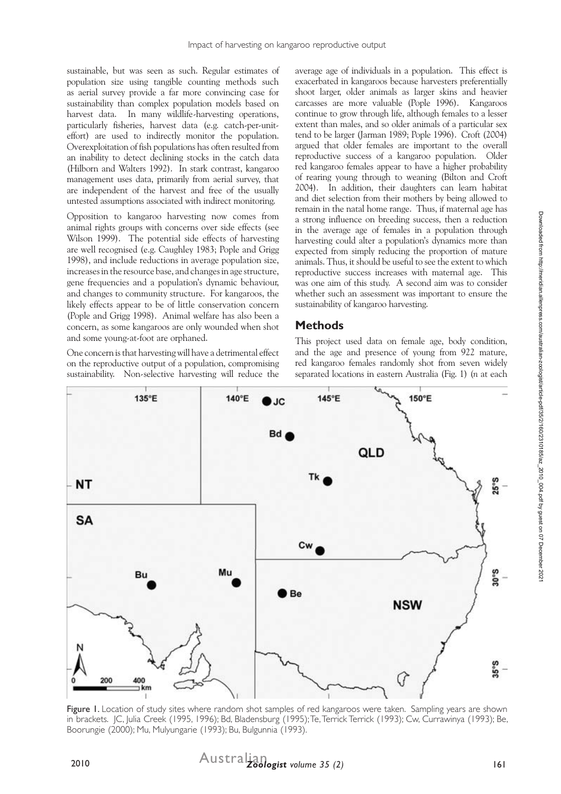sustainable, but was seen as such. Regular estimates of population size using tangible counting methods such as aerial survey provide a far more convincing case for sustainability than complex population models based on harvest data. In many wildlife-harvesting operations, particularly fisheries, harvest data (e.g. catch-per-uniteffort) are used to indirectly monitor the population. Overexploitation of fish populations has often resulted from an inability to detect declining stocks in the catch data (Hilborn and Walters 1992). In stark contrast, kangaroo management uses data, primarily from aerial survey, that are independent of the harvest and free of the usually untested assumptions associated with indirect monitoring.

Opposition to kangaroo harvesting now comes from animal rights groups with concerns over side effects (see Wilson 1999). The potential side effects of harvesting are well recognised (e.g. Caughley 1983; Pople and Grigg 1998), and include reductions in average population size, increases in the resource base, and changes in age structure, gene frequencies and a population's dynamic behaviour, and changes to community structure. For kangaroos, the likely effects appear to be of little conservation concern (Pople and Grigg 1998). Animal welfare has also been a concern, as some kangaroos are only wounded when shot and some young-at-foot are orphaned.

One concern is that harvesting will have a detrimental effect on the reproductive output of a population, compromising sustainability. Non-selective harvesting will reduce the

average age of individuals in a population. This effect is exacerbated in kangaroos because harvesters preferentially shoot larger, older animals as larger skins and heavier carcasses are more valuable (Pople 1996). Kangaroos continue to grow through life, although females to a lesser extent than males, and so older animals of a particular sex tend to be larger (Jarman 1989; Pople 1996). Croft (2004) argued that older females are important to the overall reproductive success of a kangaroo population. Older red kangaroo females appear to have a higher probability of rearing young through to weaning (Bilton and Croft 2004). In addition, their daughters can learn habitat and diet selection from their mothers by being allowed to remain in the natal home range. Thus, if maternal age has a strong influence on breeding success, then a reduction in the average age of females in a population through harvesting could alter a population's dynamics more than expected from simply reducing the proportion of mature animals. Thus, it should be useful to see the extent to which reproductive success increases with maternal age. This was one aim of this study. A second aim was to consider whether such an assessment was important to ensure the sustainability of kangaroo harvesting.

### **Methods**

This project used data on female age, body condition, and the age and presence of young from 922 mature, red kangaroo females randomly shot from seven widely separated locations in eastern Australia (Fig. 1) (*n* at each



Figure 1. Location of study sites where random shot samples of red kangaroos were taken. Sampling years are shown in brackets. JC, Julia Creek (1995, 1996); Bd, Bladensburg (1995); Te, Terrick Terrick (1993); Cw, Currawinya (1993); Be, Boorungie (2000); Mu, Mulyungarie (1993); Bu, Bulgunnia (1993).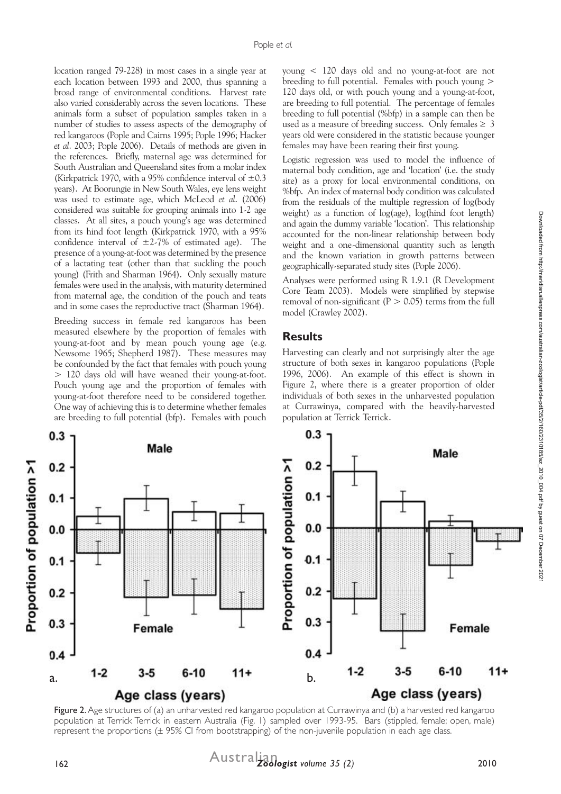location ranged 79-228) in most cases in a single year at each location between 1993 and 2000, thus spanning a broad range of environmental conditions. Harvest rate also varied considerably across the seven locations. These animals form a subset of population samples taken in a number of studies to assess aspects of the demography of red kangaroos (Pople and Cairns 1995; Pople 1996; Hacker *et al*. 2003; Pople 2006). Details of methods are given in the references. Briefly, maternal age was determined for South Australian and Queensland sites from a molar index (Kirkpatrick 1970, with a 95% confidence interval of  $\pm 0.3$ ) years). At Boorungie in New South Wales, eye lens weight was used to estimate age, which McLeod *et al*. (2006) considered was suitable for grouping animals into 1-2 age classes. At all sites, a pouch young's age was determined from its hind foot length (Kirkpatrick 1970, with a 95% confidence interval of  $\pm$ 2-7% of estimated age). The presence of a young-at-foot was determined by the presence of a lactating teat (other than that suckling the pouch young) (Frith and Sharman 1964). Only sexually mature females were used in the analysis, with maturity determined from maternal age, the condition of the pouch and teats and in some cases the reproductive tract (Sharman 1964).

Breeding success in female red kangaroos has been measured elsewhere by the proportion of females with young-at-foot and by mean pouch young age (e.g. Newsome 1965; Shepherd 1987). These measures may be confounded by the fact that females with pouch young > 120 days old will have weaned their young-at-foot. Pouch young age and the proportion of females with young-at-foot therefore need to be considered together. One way of achieving this is to determine whether females are breeding to full potential (bfp). Females with pouch

young < 120 days old and no young-at-foot are not breeding to full potential. Females with pouch young > 120 days old, or with pouch young and a young-at-foot, are breeding to full potential. The percentage of females breeding to full potential (%bfp) in a sample can then be used as a measure of breeding success. Only females  $\geq 3$ years old were considered in the statistic because younger females may have been rearing their first young.

Logistic regression was used to model the influence of maternal body condition, age and 'location' (i.e. the study site) as a proxy for local environmental conditions, on %bfp. An index of maternal body condition was calculated from the residuals of the multiple regression of log(body weight) as a function of log(age), log(hind foot length) and again the dummy variable 'location'. This relationship accounted for the non-linear relationship between body weight and a one-dimensional quantity such as length and the known variation in growth patterns between geographically-separated study sites (Pople 2006).

Analyses were performed using R 1.9.1 (R Development Core Team 2003). Models were simplified by stepwise removal of non-significant ( $P > 0.05$ ) terms from the full model (Crawley 2002).

#### **Results**

Harvesting can clearly and not surprisingly alter the age structure of both sexes in kangaroo populations (Pople 1996, 2006). An example of this effect is shown in Figure 2, where there is a greater proportion of older individuals of both sexes in the unharvested population at Currawinya, compared with the heavily-harvested population at Terrick Terrick.



Figure 2. Age structures of (a) an unharvested red kangaroo population at Currawinya and (b) a harvested red kangaroo population at Terrick Terrick in eastern Australia (Fig. 1) sampled over 1993-95. Bars (stippled, female; open, male) represent the proportions (± 95% CI from bootstrapping) of the non-juvenile population in each age class.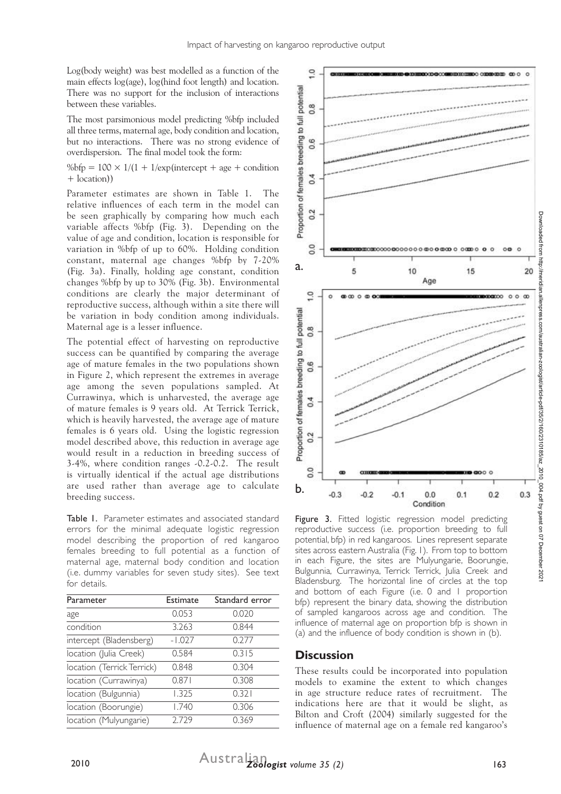Log(body weight) was best modelled as a function of the main effects log(age), log(hind foot length) and location. There was no support for the inclusion of interactions between these variables.

The most parsimonious model predicting %bfp included all three terms, maternal age, body condition and location, but no interactions. There was no strong evidence of overdispersion. The final model took the form:

%bfp =  $100 \times 1/(1 + 1/\exp$ (intercept + age + condition + location))

Parameter estimates are shown in Table 1. The relative influences of each term in the model can be seen graphically by comparing how much each variable affects %bfp (Fig. 3). Depending on the value of age and condition, location is responsible for variation in %bfp of up to 60%. Holding condition constant, maternal age changes %bfp by 7-20% (Fig. 3a). Finally, holding age constant, condition changes %bfp by up to 30% (Fig. 3b). Environmental conditions are clearly the major determinant of reproductive success, although within a site there will be variation in body condition among individuals. Maternal age is a lesser influence.

The potential effect of harvesting on reproductive success can be quantified by comparing the average age of mature females in the two populations shown in Figure 2, which represent the extremes in average age among the seven populations sampled. At Currawinya, which is unharvested, the average age of mature females is 9 years old. At Terrick Terrick, which is heavily harvested, the average age of mature females is 6 years old. Using the logistic regression model described above, this reduction in average age would result in a reduction in breeding success of 3-4%, where condition ranges -0.2-0.2. The result is virtually identical if the actual age distributions are used rather than average age to calculate breeding success.

Table 1. Parameter estimates and associated standard errors for the minimal adequate logistic regression model describing the proportion of red kangaroo females breeding to full potential as a function of maternal age, maternal body condition and location (i.e. dummy variables for seven study sites). See text for details.

| Parameter                  | Estimate | Standard error |
|----------------------------|----------|----------------|
| age                        | 0.053    | 0.020          |
| condition                  | 3.263    | 0.844          |
| intercept (Bladensberg)    | $-1.027$ | 0.277          |
| location (Julia Creek)     | 0.584    | 0.315          |
| location (Terrick Terrick) | 0.848    | 0.304          |
| location (Currawinya)      | 0.871    | 0.308          |
| location (Bulgunnia)       | 1.325    | 0.321          |
| location (Boorungie)       | 1.740    | 0.306          |
| location (Mulyungarie)     | 2.729    | 0.369          |



Figure 3. Fitted logistic regression model predicting reproductive success (i.e. proportion breeding to full potential, bfp) in red kangaroos. Lines represent separate sites across eastern Australia (Fig. 1). From top to bottom in each Figure, the sites are Mulyungarie, Boorungie, Bulgunnia, Currawinya, Terrick Terrick, Julia Creek and Bladensburg. The horizontal line of circles at the top and bottom of each Figure (i.e. 0 and 1 proportion bfp) represent the binary data, showing the distribution of sampled kangaroos across age and condition. The influence of maternal age on proportion bfp is shown in (a) and the influence of body condition is shown in (b).

#### **Discussion**

These results could be incorporated into population models to examine the extent to which changes in age structure reduce rates of recruitment. The indications here are that it would be slight, as Bilton and Croft (2004) similarly suggested for the influence of maternal age on a female red kangaroo's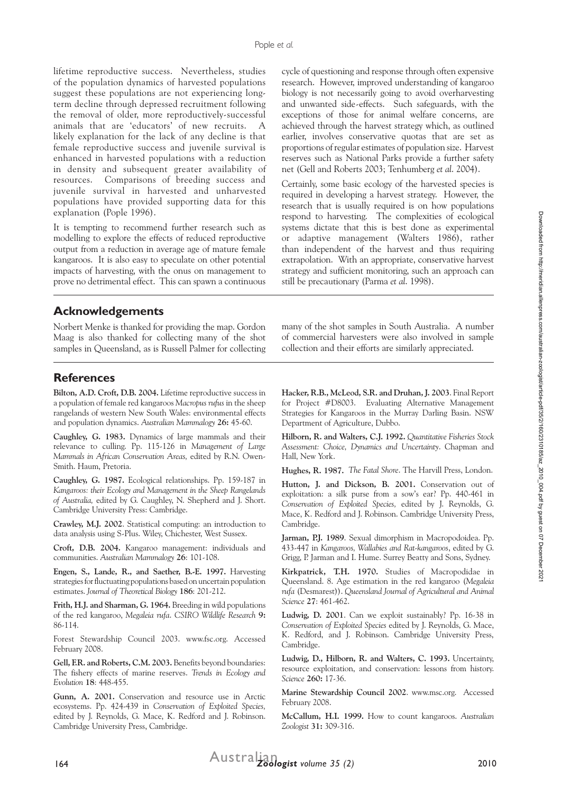lifetime reproductive success. Nevertheless, studies of the population dynamics of harvested populations suggest these populations are not experiencing longterm decline through depressed recruitment following the removal of older, more reproductively-successful animals that are 'educators' of new recruits. A likely explanation for the lack of any decline is that female reproductive success and juvenile survival is enhanced in harvested populations with a reduction in density and subsequent greater availability of resources. Comparisons of breeding success and juvenile survival in harvested and unharvested populations have provided supporting data for this explanation (Pople 1996).

It is tempting to recommend further research such as modelling to explore the effects of reduced reproductive output from a reduction in average age of mature female kangaroos. It is also easy to speculate on other potential impacts of harvesting, with the onus on management to prove no detrimental effect. This can spawn a continuous cycle of questioning and response through often expensive research. However, improved understanding of kangaroo biology is not necessarily going to avoid overharvesting and unwanted side-effects. Such safeguards, with the exceptions of those for animal welfare concerns, are achieved through the harvest strategy which, as outlined earlier, involves conservative quotas that are set as proportions of regular estimates of population size. Harvest reserves such as National Parks provide a further safety net (Gell and Roberts 2003; Tenhumberg *et al*. 2004).

Certainly, some basic ecology of the harvested species is required in developing a harvest strategy. However, the research that is usually required is on how populations respond to harvesting. The complexities of ecological systems dictate that this is best done as experimental or adaptive management (Walters 1986), rather than independent of the harvest and thus requiring extrapolation. With an appropriate, conservative harvest strategy and sufficient monitoring, such an approach can still be precautionary (Parma *et al*. 1998).

#### **Acknowledgements**

**References**

Smith. Haum, Pretoria.

Cambridge University Press: Cambridge.

communities. *Australian Mammalogy* **26**: 101-108.

estimates. *Journal of Theoretical Biology* **186**: 201-212.

Norbert Menke is thanked for providing the map. Gordon Maag is also thanked for collecting many of the shot samples in Queensland, as is Russell Palmer for collecting

**Bilton, A.D. Croft, D.B. 2004.** Lifetime reproductive success in a population of female red kangaroos *Macropus rufus* in the sheep rangelands of western New South Wales: environmental effects and population dynamics. *Australian Mammalogy* **26:** 45-60. **Caughley, G. 1983.** Dynamics of large mammals and their relevance to culling. Pp. 115-126 in *Management of Large Mammals in African Conservation Areas,* edited by R.N. Owen-

**Caughley, G. 1987.** Ecological relationships. Pp. 159-187 in *Kangaroos: their Ecology and Management in the Sheep Rangelands of Australia,* edited by G. Caughley, N. Shepherd and J. Short.

**Crawley, M.J. 2002**. Statistical computing: an introduction to data analysis using S-Plus. Wiley, Chichester, West Sussex. **Croft, D.B. 2004.** Kangaroo management: individuals and

**Engen, S., Lande, R., and Saether, B.-E. 1997.** Harvesting strategies for fluctuating populations based on uncertain population **Hacker, R.B., McLeod, S.R. and Druhan, J. 2003**. Final Report for Project #D8003. Evaluating Alternative Management Strategies for Kangaroos in the Murray Darling Basin. NSW Department of Agriculture, Dubbo.

many of the shot samples in South Australia. A number of commercial harvesters were also involved in sample collection and their efforts are similarly appreciated.

**Hilborn, R. and Walters, C.J. 1992.** *Quantitative Fisheries Stock Assessment: Choice, Dynamics and Uncertainty*. Chapman and Hall, New York.

**Hughes, R. 1987.** *The Fatal Shore*. The Harvill Press, London.

**Hutton, J. and Dickson, B. 2001.** Conservation out of exploitation: a silk purse from a sow's ear? Pp. 440-461 in *Conservation of Exploited Species,* edited by J. Reynolds, G. Mace, K. Redford and J. Robinson. Cambridge University Press, Cambridge.

**Jarman, P.J. 1989**. Sexual dimorphism in Macropodoidea. Pp. 433-447 in *Kangaroos, Wallabies and Rat-kangaroos*, edited by G. Grigg, P. Jarman and I. Hume. Surrey Beatty and Sons, Sydney.

**Kirkpatrick, T.H. 1970.** Studies of Macropodidae in Queensland. 8. Age estimation in the red kangaroo (*Megaleia rufa* (Desmarest)). *Queensland Journal of Agricultural and Animal Science* **27**: 461-462.

**Ludwig, D. 2001**. Can we exploit sustainably? Pp. 16-38 in *Conservation of Exploited Species* edited by J. Reynolds, G. Mace, K. Redford, and J. Robinson. Cambridge University Press, Cambridge.

**Ludwig, D., Hilborn, R. and Walters, C. 1993.** Uncertainty, resource exploitation, and conservation: lessons from history. *Science* **260:** 17-36.

**Marine Stewardship Council 2002**. www.msc.org. Accessed February 2008.

**McCallum, H.I. 1999.** How to count kangaroos. *Australian Zoologist* **31:** 309-316.

**Frith, H.J. and Sharman, G. 1964.** Breeding in wild populations of the red kangaroo, *Megaleia rufa*. *CSIRO Wildlife Research* **9:** 86-114.

Forest Stewardship Council 2003. www.fsc.org. Accessed February 2008.

**Gell, F.R. and Roberts, C.M. 2003.** Benefits beyond boundaries: The fishery effects of marine reserves. *Trends in Ecology and Evolution* **18**: 448-455.

**Gunn, A. 2001.** Conservation and resource use in Arctic ecosystems. Pp. 424-439 in *Conservation of Exploited Species,* edited by J. Reynolds, G. Mace, K. Redford and J. Robinson. Cambridge University Press, Cambridge.